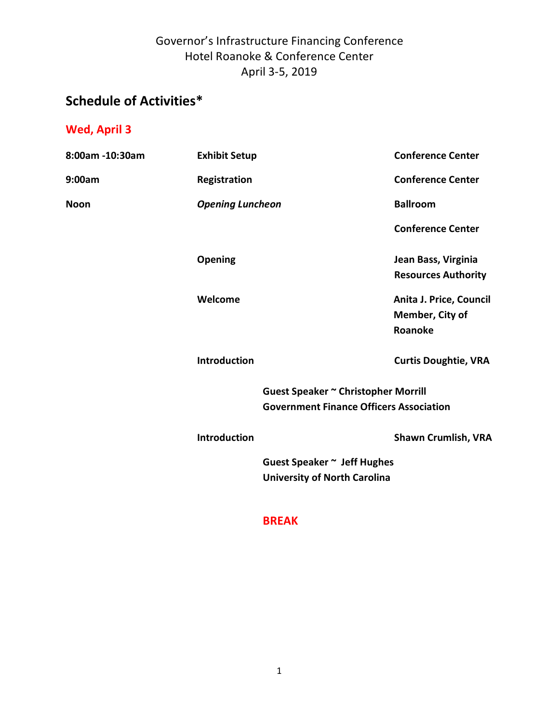# **Schedule of Activities\***

### **Wed, April 3**

| 8:00am -10:30am | <b>Exhibit Setup</b>    |                                                | <b>Conference Center</b>    |
|-----------------|-------------------------|------------------------------------------------|-----------------------------|
| 9:00am          | Registration            |                                                | <b>Conference Center</b>    |
| <b>Noon</b>     | <b>Opening Luncheon</b> |                                                | <b>Ballroom</b>             |
|                 |                         |                                                | <b>Conference Center</b>    |
|                 | <b>Opening</b>          |                                                | Jean Bass, Virginia         |
|                 |                         |                                                | <b>Resources Authority</b>  |
|                 | Welcome                 |                                                | Anita J. Price, Council     |
|                 |                         |                                                | Member, City of             |
|                 |                         |                                                | Roanoke                     |
|                 | <b>Introduction</b>     |                                                | <b>Curtis Doughtie, VRA</b> |
|                 |                         | Guest Speaker ~ Christopher Morrill            |                             |
|                 |                         | <b>Government Finance Officers Association</b> |                             |
|                 | <b>Introduction</b>     |                                                | <b>Shawn Crumlish, VRA</b>  |
|                 |                         | Guest Speaker ~ Jeff Hughes                    |                             |
|                 |                         | <b>University of North Carolina</b>            |                             |

#### **BREAK**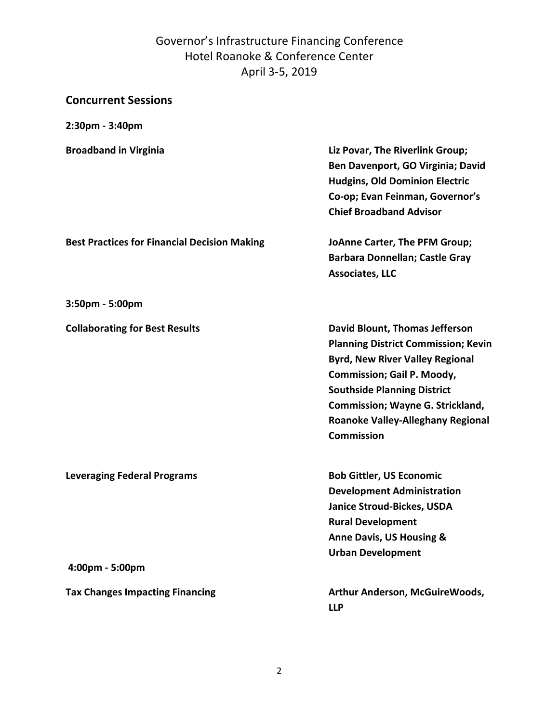| <b>Concurrent Sessions</b>                            |                                                                                                                                                                                                                                                                                                                      |
|-------------------------------------------------------|----------------------------------------------------------------------------------------------------------------------------------------------------------------------------------------------------------------------------------------------------------------------------------------------------------------------|
| 2:30pm - 3:40pm                                       |                                                                                                                                                                                                                                                                                                                      |
| <b>Broadband in Virginia</b>                          | Liz Povar, The Riverlink Group;<br>Ben Davenport, GO Virginia; David<br><b>Hudgins, Old Dominion Electric</b><br>Co-op; Evan Feinman, Governor's<br><b>Chief Broadband Advisor</b>                                                                                                                                   |
| <b>Best Practices for Financial Decision Making</b>   | JoAnne Carter, The PFM Group;<br><b>Barbara Donnellan; Castle Gray</b><br><b>Associates, LLC</b>                                                                                                                                                                                                                     |
| 3:50pm - 5:00pm                                       |                                                                                                                                                                                                                                                                                                                      |
| <b>Collaborating for Best Results</b>                 | <b>David Blount, Thomas Jefferson</b><br><b>Planning District Commission; Kevin</b><br><b>Byrd, New River Valley Regional</b><br><b>Commission; Gail P. Moody,</b><br><b>Southside Planning District</b><br><b>Commission; Wayne G. Strickland,</b><br><b>Roanoke Valley-Alleghany Regional</b><br><b>Commission</b> |
| <b>Leveraging Federal Programs</b><br>4:00pm - 5:00pm | <b>Bob Gittler, US Economic</b><br><b>Development Administration</b><br><b>Janice Stroud-Bickes, USDA</b><br><b>Rural Development</b><br><b>Anne Davis, US Housing &amp;</b><br><b>Urban Development</b>                                                                                                             |
| <b>Tax Changes Impacting Financing</b>                | Arthur Anderson, McGuireWoods,<br><b>LLP</b>                                                                                                                                                                                                                                                                         |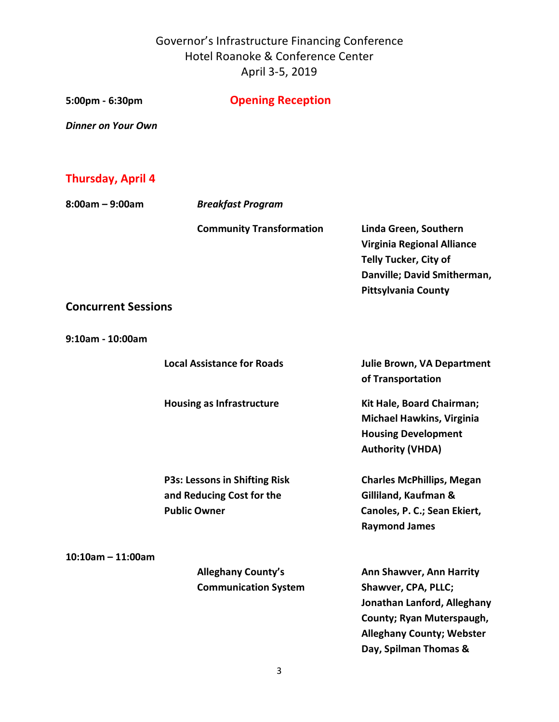| 5:00pm - 6:30pm            | <b>Opening Reception</b>                                                                 |                                                                                                                                                                                 |
|----------------------------|------------------------------------------------------------------------------------------|---------------------------------------------------------------------------------------------------------------------------------------------------------------------------------|
| <b>Dinner on Your Own</b>  |                                                                                          |                                                                                                                                                                                 |
|                            |                                                                                          |                                                                                                                                                                                 |
| <b>Thursday, April 4</b>   |                                                                                          |                                                                                                                                                                                 |
| $8:00am - 9:00am$          | <b>Breakfast Program</b>                                                                 |                                                                                                                                                                                 |
|                            | <b>Community Transformation</b>                                                          | Linda Green, Southern<br><b>Virginia Regional Alliance</b><br><b>Telly Tucker, City of</b><br>Danville; David Smitherman,<br><b>Pittsylvania County</b>                         |
| <b>Concurrent Sessions</b> |                                                                                          |                                                                                                                                                                                 |
| 9:10am - 10:00am           |                                                                                          |                                                                                                                                                                                 |
|                            | <b>Local Assistance for Roads</b>                                                        | <b>Julie Brown, VA Department</b><br>of Transportation                                                                                                                          |
|                            | <b>Housing as Infrastructure</b>                                                         | Kit Hale, Board Chairman;<br><b>Michael Hawkins, Virginia</b><br><b>Housing Development</b><br><b>Authority (VHDA)</b>                                                          |
|                            | <b>P3s: Lessons in Shifting Risk</b><br>and Reducing Cost for the<br><b>Public Owner</b> | <b>Charles McPhillips, Megan</b><br>Gilliland, Kaufman &<br>Canoles, P. C.; Sean Ekiert,<br><b>Raymond James</b>                                                                |
| $10:10$ am - 11:00am       | <b>Alleghany County's</b><br><b>Communication System</b>                                 | <b>Ann Shawver, Ann Harrity</b><br>Shawver, CPA, PLLC;<br>Jonathan Lanford, Alleghany<br>County; Ryan Muterspaugh,<br><b>Alleghany County; Webster</b><br>Day, Spilman Thomas & |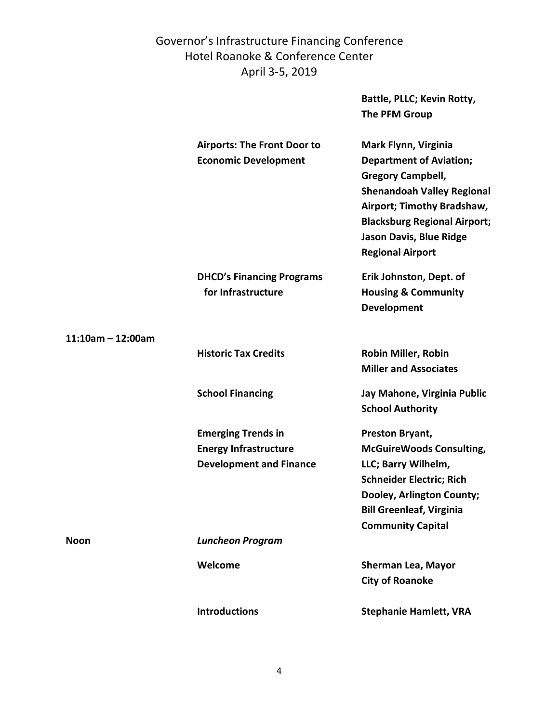**Battle, PLLC; Kevin Rotty,** 

**The PFM Group**

|                      | <b>Airports: The Front Door to</b><br><b>Economic Development</b>                           | Mark Flynn, Virginia<br><b>Department of Aviation;</b><br><b>Gregory Campbell,</b><br><b>Shenandoah Valley Regional</b><br>Airport; Timothy Bradshaw,<br><b>Blacksburg Regional Airport;</b><br><b>Jason Davis, Blue Ridge</b><br><b>Regional Airport</b> |
|----------------------|---------------------------------------------------------------------------------------------|-----------------------------------------------------------------------------------------------------------------------------------------------------------------------------------------------------------------------------------------------------------|
|                      | <b>DHCD's Financing Programs</b><br>for Infrastructure                                      | Erik Johnston, Dept. of<br><b>Housing &amp; Community</b><br><b>Development</b>                                                                                                                                                                           |
| $11:10$ am - 12:00am |                                                                                             |                                                                                                                                                                                                                                                           |
|                      | <b>Historic Tax Credits</b>                                                                 | <b>Robin Miller, Robin</b><br><b>Miller and Associates</b>                                                                                                                                                                                                |
|                      | <b>School Financing</b>                                                                     | Jay Mahone, Virginia Public<br><b>School Authority</b>                                                                                                                                                                                                    |
|                      | <b>Emerging Trends in</b><br><b>Energy Infrastructure</b><br><b>Development and Finance</b> | Preston Bryant,<br><b>McGuireWoods Consulting,</b><br>LLC; Barry Wilhelm,<br><b>Schneider Electric; Rich</b><br>Dooley, Arlington County;<br><b>Bill Greenleaf, Virginia</b><br><b>Community Capital</b>                                                  |
| <b>Noon</b>          | <b>Luncheon Program</b>                                                                     |                                                                                                                                                                                                                                                           |
|                      | Welcome                                                                                     | <b>Sherman Lea, Mayor</b><br><b>City of Roanoke</b>                                                                                                                                                                                                       |
|                      | <b>Introductions</b>                                                                        | <b>Stephanie Hamlett, VRA</b>                                                                                                                                                                                                                             |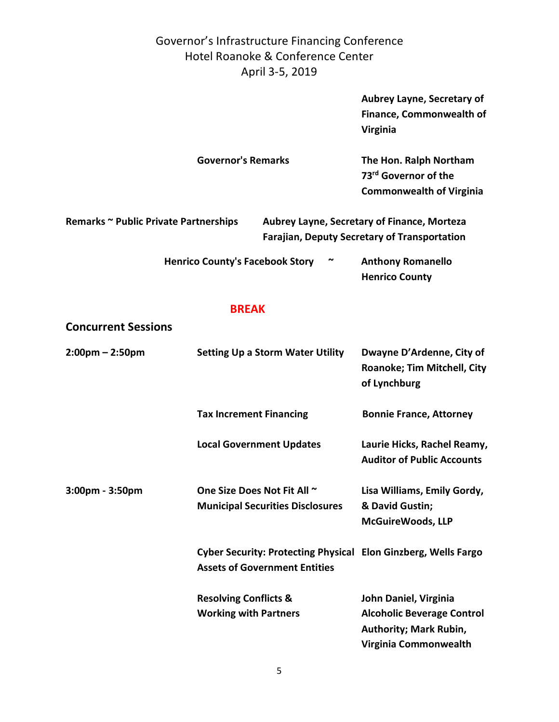> **Aubrey Layne, Secretary of Finance, Commonwealth of Virginia**

| <b>Governor's Remarks</b> | The Hon. Ralph Northam           |
|---------------------------|----------------------------------|
|                           | 73 <sup>rd</sup> Governor of the |
|                           | <b>Commonwealth of Virginia</b>  |

| Remarks ~ Public Private Partnerships | Aubrey Layne, Secretary of Finance, Morteza         |  |
|---------------------------------------|-----------------------------------------------------|--|
|                                       | <b>Farajian, Deputy Secretary of Transportation</b> |  |

| <b>Henrico County's Facebook Story</b> | $\tilde{\phantom{a}}$ | <b>Anthony Romanello</b> |
|----------------------------------------|-----------------------|--------------------------|
|                                        |                       | <b>Henrico County</b>    |

#### **BREAK**

**Concurrent Sessions**

| $2:00$ pm – 2:50pm    | <b>Setting Up a Storm Water Utility</b>                                                                | Dwayne D'Ardenne, City of<br><b>Roanoke; Tim Mitchell, City</b><br>of Lynchburg                                      |
|-----------------------|--------------------------------------------------------------------------------------------------------|----------------------------------------------------------------------------------------------------------------------|
|                       | <b>Tax Increment Financing</b>                                                                         | <b>Bonnie France, Attorney</b>                                                                                       |
|                       | <b>Local Government Updates</b>                                                                        | Laurie Hicks, Rachel Reamy,<br><b>Auditor of Public Accounts</b>                                                     |
| $3:00$ pm - $3:50$ pm | One Size Does Not Fit All ~<br><b>Municipal Securities Disclosures</b>                                 | Lisa Williams, Emily Gordy,<br>& David Gustin;<br><b>McGuireWoods, LLP</b>                                           |
|                       | Cyber Security: Protecting Physical Elon Ginzberg, Wells Fargo<br><b>Assets of Government Entities</b> |                                                                                                                      |
|                       | <b>Resolving Conflicts &amp;</b><br><b>Working with Partners</b>                                       | John Daniel, Virginia<br><b>Alcoholic Beverage Control</b><br><b>Authority; Mark Rubin,</b><br>Virginia Commonwealth |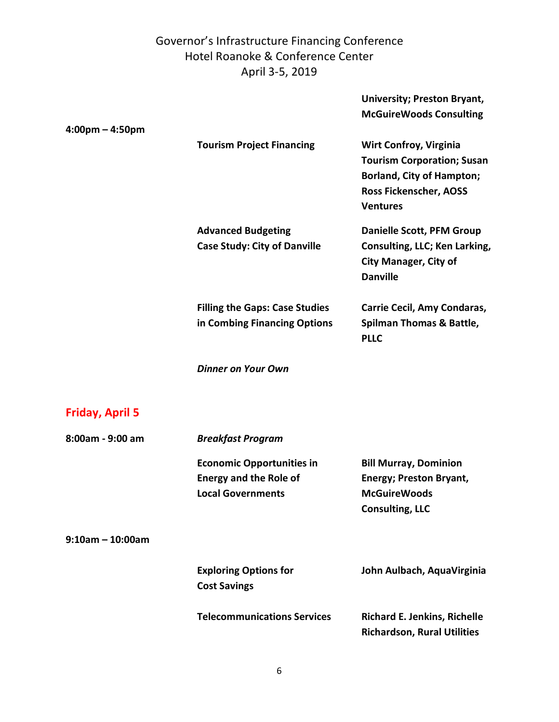**University; Preston Bryant,** 

|                                   |                                                                                               | <b>McGuireWoods Consulting</b>                                                                                                          |
|-----------------------------------|-----------------------------------------------------------------------------------------------|-----------------------------------------------------------------------------------------------------------------------------------------|
| $4:00 \text{pm} - 4:50 \text{pm}$ | <b>Tourism Project Financing</b>                                                              | <b>Wirt Confroy, Virginia</b><br><b>Tourism Corporation; Susan</b><br><b>Borland, City of Hampton;</b><br>Ross Fickenscher, AOSS        |
|                                   | <b>Advanced Budgeting</b><br><b>Case Study: City of Danville</b>                              | <b>Ventures</b><br><b>Danielle Scott, PFM Group</b><br>Consulting, LLC; Ken Larking,<br><b>City Manager, City of</b><br><b>Danville</b> |
|                                   | <b>Filling the Gaps: Case Studies</b><br>in Combing Financing Options                         | <b>Carrie Cecil, Amy Condaras,</b><br><b>Spilman Thomas &amp; Battle,</b><br><b>PLLC</b>                                                |
|                                   | <b>Dinner on Your Own</b>                                                                     |                                                                                                                                         |
| <b>Friday, April 5</b>            |                                                                                               |                                                                                                                                         |
| 8:00am - 9:00 am                  | <b>Breakfast Program</b>                                                                      |                                                                                                                                         |
|                                   | <b>Economic Opportunities in</b><br><b>Energy and the Role of</b><br><b>Local Governments</b> | <b>Bill Murray, Dominion</b><br><b>Energy; Preston Bryant,</b><br><b>McGuireWoods</b><br><b>Consulting, LLC</b>                         |
| $9:10$ am - 10:00am               |                                                                                               |                                                                                                                                         |
|                                   | <b>Exploring Options for</b><br><b>Cost Savings</b>                                           | John Aulbach, AquaVirginia                                                                                                              |
|                                   | <b>Telecommunications Services</b>                                                            | <b>Richard E. Jenkins, Richelle</b><br><b>Richardson, Rural Utilities</b>                                                               |